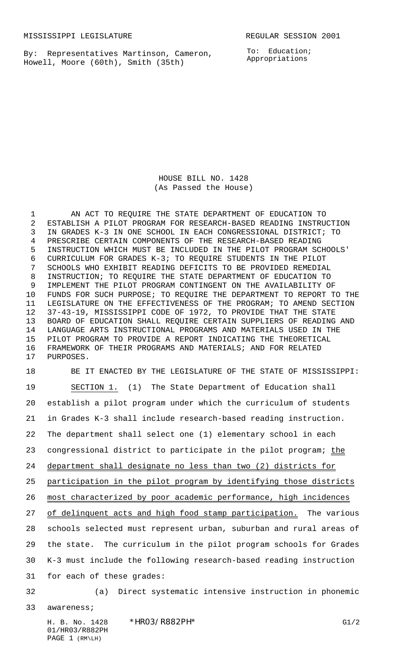By: Representatives Martinson, Cameron, Howell, Moore (60th), Smith (35th)

To: Education; Appropriations

HOUSE BILL NO. 1428 (As Passed the House)

 AN ACT TO REQUIRE THE STATE DEPARTMENT OF EDUCATION TO ESTABLISH A PILOT PROGRAM FOR RESEARCH-BASED READING INSTRUCTION IN GRADES K-3 IN ONE SCHOOL IN EACH CONGRESSIONAL DISTRICT; TO PRESCRIBE CERTAIN COMPONENTS OF THE RESEARCH-BASED READING INSTRUCTION WHICH MUST BE INCLUDED IN THE PILOT PROGRAM SCHOOLS' CURRICULUM FOR GRADES K-3; TO REQUIRE STUDENTS IN THE PILOT SCHOOLS WHO EXHIBIT READING DEFICITS TO BE PROVIDED REMEDIAL INSTRUCTION; TO REQUIRE THE STATE DEPARTMENT OF EDUCATION TO IMPLEMENT THE PILOT PROGRAM CONTINGENT ON THE AVAILABILITY OF FUNDS FOR SUCH PURPOSE; TO REQUIRE THE DEPARTMENT TO REPORT TO THE LEGISLATURE ON THE EFFECTIVENESS OF THE PROGRAM; TO AMEND SECTION 37-43-19, MISSISSIPPI CODE OF 1972, TO PROVIDE THAT THE STATE BOARD OF EDUCATION SHALL REQUIRE CERTAIN SUPPLIERS OF READING AND LANGUAGE ARTS INSTRUCTIONAL PROGRAMS AND MATERIALS USED IN THE PILOT PROGRAM TO PROVIDE A REPORT INDICATING THE THEORETICAL FRAMEWORK OF THEIR PROGRAMS AND MATERIALS; AND FOR RELATED PURPOSES.

 BE IT ENACTED BY THE LEGISLATURE OF THE STATE OF MISSISSIPPI: SECTION 1. (1) The State Department of Education shall establish a pilot program under which the curriculum of students in Grades K-3 shall include research-based reading instruction. The department shall select one (1) elementary school in each 23 congressional district to participate in the pilot program; the department shall designate no less than two (2) districts for participation in the pilot program by identifying those districts most characterized by poor academic performance, high incidences 27 of delinquent acts and high food stamp participation. The various schools selected must represent urban, suburban and rural areas of the state. The curriculum in the pilot program schools for Grades K-3 must include the following research-based reading instruction for each of these grades: (a) Direct systematic intensive instruction in phonemic

awareness;

H. B. No. 1428 \*HR03/R882PH\* G1/2 01/HR03/R882PH PAGE 1 (RM\LH)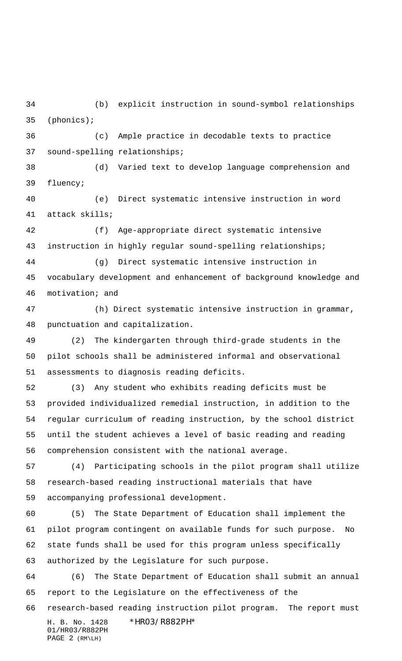(b) explicit instruction in sound-symbol relationships (phonics);

 (c) Ample practice in decodable texts to practice sound-spelling relationships;

 (d) Varied text to develop language comprehension and fluency;

 (e) Direct systematic intensive instruction in word attack skills;

 (f) Age-appropriate direct systematic intensive instruction in highly regular sound-spelling relationships;

 (g) Direct systematic intensive instruction in vocabulary development and enhancement of background knowledge and motivation; and

 (h) Direct systematic intensive instruction in grammar, punctuation and capitalization.

 (2) The kindergarten through third-grade students in the pilot schools shall be administered informal and observational assessments to diagnosis reading deficits.

 (3) Any student who exhibits reading deficits must be provided individualized remedial instruction, in addition to the regular curriculum of reading instruction, by the school district until the student achieves a level of basic reading and reading comprehension consistent with the national average.

 (4) Participating schools in the pilot program shall utilize research-based reading instructional materials that have accompanying professional development.

 (5) The State Department of Education shall implement the pilot program contingent on available funds for such purpose. No state funds shall be used for this program unless specifically authorized by the Legislature for such purpose.

 (6) The State Department of Education shall submit an annual report to the Legislature on the effectiveness of the

research-based reading instruction pilot program. The report must

H. B. No. 1428 \*HR03/R882PH\* 01/HR03/R882PH PAGE 2 (RM\LH)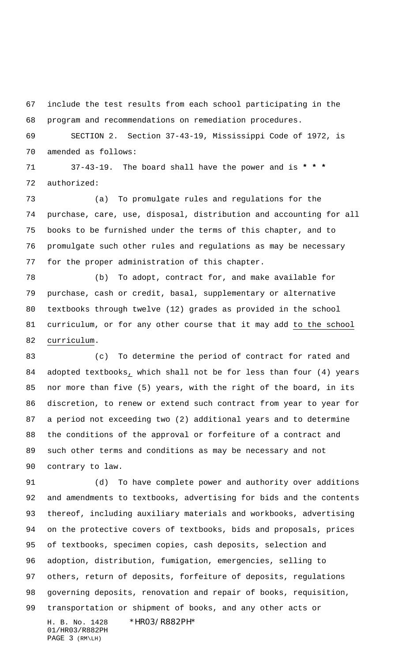include the test results from each school participating in the program and recommendations on remediation procedures.

 SECTION 2. Section 37-43-19, Mississippi Code of 1972, is amended as follows:

 37-43-19. The board shall have the power and is **\* \* \*** authorized:

 (a) To promulgate rules and regulations for the purchase, care, use, disposal, distribution and accounting for all books to be furnished under the terms of this chapter, and to promulgate such other rules and regulations as may be necessary for the proper administration of this chapter.

 (b) To adopt, contract for, and make available for purchase, cash or credit, basal, supplementary or alternative textbooks through twelve (12) grades as provided in the school curriculum, or for any other course that it may add to the school curriculum.

 (c) To determine the period of contract for rated and adopted textbooks, which shall not be for less than four (4) years nor more than five (5) years, with the right of the board, in its discretion, to renew or extend such contract from year to year for a period not exceeding two (2) additional years and to determine the conditions of the approval or forfeiture of a contract and such other terms and conditions as may be necessary and not contrary to law.

H. B. No. 1428 \*HR03/R882PH\* 01/HR03/R882PH (d) To have complete power and authority over additions and amendments to textbooks, advertising for bids and the contents thereof, including auxiliary materials and workbooks, advertising on the protective covers of textbooks, bids and proposals, prices of textbooks, specimen copies, cash deposits, selection and adoption, distribution, fumigation, emergencies, selling to others, return of deposits, forfeiture of deposits, regulations governing deposits, renovation and repair of books, requisition, transportation or shipment of books, and any other acts or

PAGE 3 (RM\LH)